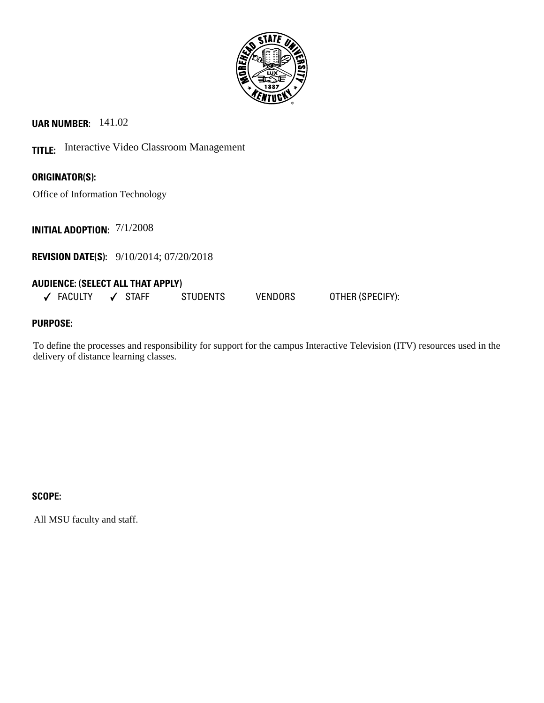

**UAR NUMBER:** 141.02

**TITLE:** Interactive Video Classroom Management

**ORIGINATOR(S):**

Office of Information Technology

**INITIAL ADOPTION:** 7/1/2008

**REVISION DATE(S):** 9/10/2014; 07/20/2018

## **AUDIENCE: (SELECT ALL THAT APPLY)**

FACULTY STAFF STUDENTS VENDORS OTHER (SPECIFY):

# **PURPOSE:**

To define the processes and responsibility for support for the campus Interactive Television (ITV) resources used in the delivery of distance learning classes.

### **SCOPE:**

All MSU faculty and staff.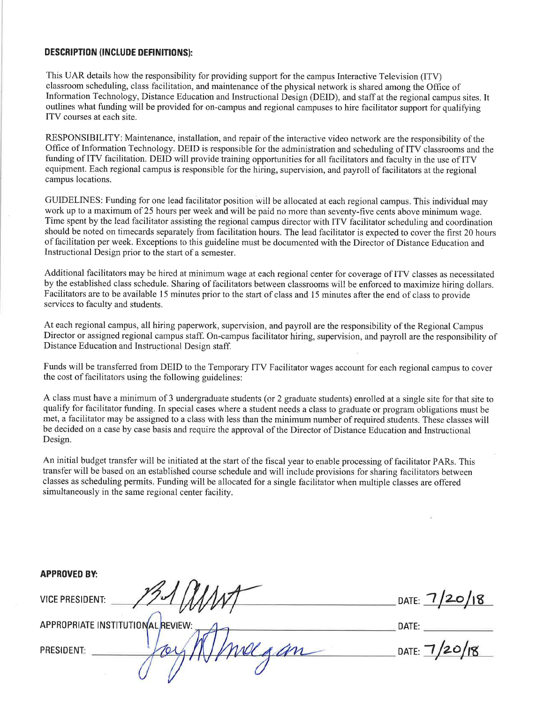#### **DESCRIPTION (INCLUDE DEFINITIONS):**

This UAR details how the responsibility for providing support for the campus Interactive Television (ITV) classroom scheduling, class facilitation, and maintenance of the physical network is shared among the Office of Information Technology, Distance Education and Instructional Design (DEID), and staff at the regional campus sites. It outlines what funding will be provided for on-campus and regional campuses to hire facilitator support for qualifying ITV courses at each site.

RESPONSIBILITY: Maintenance, installation, and repair of the interactive video network are the responsibility of the Office of Information Technology. DEID is responsible for the administration and scheduling of ITV classrooms and the funding of ITV facilitation. DEID will provide training opportunities for all facilitators and faculty in the use of ITV equipment. Each regional campus is responsible for the hiring, supervision, and payroll of facilitators at the regional campus locations.

GUIDELINES: Funding for one lead facilitator position will be allocated at each regional campus. This individual may work up to a maximum of 25 hours per week and will be paid no more than seventy-five cents above minimum wage. Time spent by the lead facilitator assisting the regional campus director with ITV facilitator scheduling and coordination should be noted on timecards separately from facilitation hours. The lead facilitator is expected to cover the first 20 hours of facilitation per week. Exceptions to this guideline must be documented with the Director of Distance Education and Instructional Design prior to the start of a semester.

Additional facilitators may be hired at minimum wage at each regional center for coverage of ITV classes as necessitated by the established class schedule. Sharing of facilitators between classrooms will be enforced to maximize hiring dollars. Facilitators are to be available 15 minutes prior to the start of class and 15 minutes after the end of class to provide services to faculty and students.

At each regional campus, all hiring paperwork, supervision, and payroll are the responsibility of the Regional Campus Director or assigned regional campus staff. On-campus facilitator hiring, supervision, and payroll are the responsibility of Distance Education and Instructional Design staff.

Funds will be transferred from DEID to the Temporary ITV Facilitator wages account for each regional campus to cover the cost of facilitators using the following guidelines:

A class must have a minimum of 3 undergraduate students (or 2 graduate students) enrolled at a single site for that site to qualify for facilitator funding. In special cases where a student needs a class to graduate or program obligations must be met, a facilitator may be assigned to a class with less than the minimum number of required students. These classes will be decided on a case by case basis and require the approval of the Director of Distance Education and Instructional Design.

An initial budget transfer will be initiated at the start of the fiscal year to enable processing of facilitator PARs. This transfer will be based on an established course schedule and will include provisions for sharing facilitators between classes as scheduling permits. Funding will be allocated for a single facilitator when multiple classes are offered simultaneously in the same regional center facility.

| <b>APPROVED BY:</b>               |                 |
|-----------------------------------|-----------------|
| <b>VICE PRESIDENT:</b>            | DATE: $7/20/18$ |
| APPROPRIATE INSTITUTIONAL REVIEW: | DATE:           |
| an<br><b>PRESIDENT:</b>           | DATE: $7/20/18$ |
|                                   |                 |